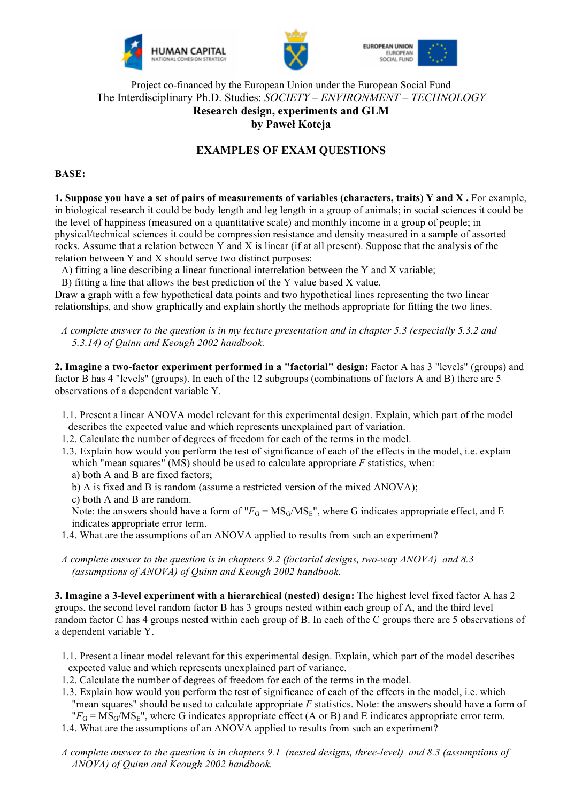





## Project co-financed by the European Union under the European Social Fund The Interdisciplinary Ph.D. Studies: *SOCIETY – ENVIRONMENT – TECHNOLOGY* **Research design, experiments and GLM by Paweł Koteja**

# **EXAMPLES OF EXAM QUESTIONS**

#### **BASE:**

**1. Suppose you have a set of pairs of measurements of variables (characters, traits) Y and X.** For example, in biological research it could be body length and leg length in a group of animals; in social sciences it could be the level of happiness (measured on a quantitative scale) and monthly income in a group of people; in physical/technical sciences it could be compression resistance and density measured in a sample of assorted rocks. Assume that a relation between Y and X is linear (if at all present). Suppose that the analysis of the relation between Y and X should serve two distinct purposes:

A) fitting a line describing a linear functional interrelation between the Y and X variable;

B) fitting a line that allows the best prediction of the Y value based X value.

Draw a graph with a few hypothetical data points and two hypothetical lines representing the two linear relationships, and show graphically and explain shortly the methods appropriate for fitting the two lines.

*A complete answer to the question is in my lecture presentation and in chapter 5.3 (especially 5.3.2 and 5.3.14) of Quinn and Keough 2002 handbook.*

**2. Imagine a two-factor experiment performed in a "factorial" design:** Factor A has 3 "levels" (groups) and factor B has 4 "levels" (groups). In each of the 12 subgroups (combinations of factors A and B) there are 5 observations of a dependent variable Y.

- 1.1. Present a linear ANOVA model relevant for this experimental design. Explain, which part of the model describes the expected value and which represents unexplained part of variation.
- 1.2. Calculate the number of degrees of freedom for each of the terms in the model.
- 1.3. Explain how would you perform the test of significance of each of the effects in the model, i.e. explain which "mean squares" (MS) should be used to calculate appropriate *F* statistics, when:
	- a) both A and B are fixed factors;
	- b) A is fixed and B is random (assume a restricted version of the mixed ANOVA);
	- c) both A and B are random.

Note: the answers should have a form of " $F_G = MS_G/MS_E$ ", where G indicates appropriate effect, and E indicates appropriate error term.

- 1.4. What are the assumptions of an ANOVA applied to results from such an experiment?
- *A complete answer to the question is in chapters 9.2 (factorial designs, two-way ANOVA) and 8.3 (assumptions of ANOVA) of Quinn and Keough 2002 handbook.*

**3. Imagine a 3-level experiment with a hierarchical (nested) design:** The highest level fixed factor A has 2 groups, the second level random factor B has 3 groups nested within each group of A, and the third level random factor C has 4 groups nested within each group of B. In each of the C groups there are 5 observations of a dependent variable Y.

- 1.1. Present a linear model relevant for this experimental design. Explain, which part of the model describes expected value and which represents unexplained part of variance.
- 1.2. Calculate the number of degrees of freedom for each of the terms in the model.
- 1.3. Explain how would you perform the test of significance of each of the effects in the model, i.e. which "mean squares" should be used to calculate appropriate *F* statistics. Note: the answers should have a form of  ${}^{\text{H}}F_{\text{G}} = \text{MS}_{\text{G}}/\text{MS}_{\text{E}}$ , where G indicates appropriate effect (A or B) and E indicates appropriate error term.
- 1.4. What are the assumptions of an ANOVA applied to results from such an experiment?
- *A complete answer to the question is in chapters 9.1 (nested designs, three-level) and 8.3 (assumptions of ANOVA) of Quinn and Keough 2002 handbook.*